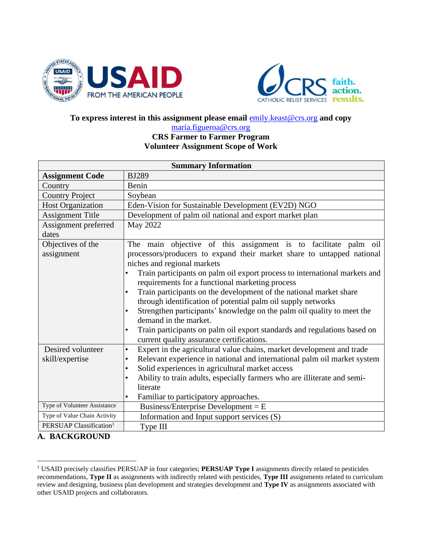



#### **To express interest in this assignment please email** [emily.keast@crs.org](mailto:emily.keast@crs.org) **and copy**

#### [maria.figueroa@crs.org](mailto:maria.figueroa@crs.org) **CRS Farmer to Farmer Program**

#### **Volunteer Assignment Scope of Work**

| <b>Summary Information</b>          |                                                                                                                                                                                                                                                                                                                                                                                                                                                                                                                                                                                                                                                                                                                    |  |  |
|-------------------------------------|--------------------------------------------------------------------------------------------------------------------------------------------------------------------------------------------------------------------------------------------------------------------------------------------------------------------------------------------------------------------------------------------------------------------------------------------------------------------------------------------------------------------------------------------------------------------------------------------------------------------------------------------------------------------------------------------------------------------|--|--|
| <b>Assignment Code</b>              | <b>BJ289</b>                                                                                                                                                                                                                                                                                                                                                                                                                                                                                                                                                                                                                                                                                                       |  |  |
| Country                             | Benin                                                                                                                                                                                                                                                                                                                                                                                                                                                                                                                                                                                                                                                                                                              |  |  |
| <b>Country Project</b>              | Soybean                                                                                                                                                                                                                                                                                                                                                                                                                                                                                                                                                                                                                                                                                                            |  |  |
| <b>Host Organization</b>            | Eden-Vision for Sustainable Development (EV2D) NGO                                                                                                                                                                                                                                                                                                                                                                                                                                                                                                                                                                                                                                                                 |  |  |
| <b>Assignment Title</b>             | Development of palm oil national and export market plan                                                                                                                                                                                                                                                                                                                                                                                                                                                                                                                                                                                                                                                            |  |  |
| Assignment preferred<br>dates       | May 2022                                                                                                                                                                                                                                                                                                                                                                                                                                                                                                                                                                                                                                                                                                           |  |  |
| Objectives of the<br>assignment     | The main objective of this assignment is to facilitate palm oil<br>processors/producers to expand their market share to untapped national<br>niches and regional markets<br>Train participants on palm oil export process to international markets and<br>requirements for a functional marketing process<br>Train participants on the development of the national market share<br>$\bullet$<br>through identification of potential palm oil supply networks<br>Strengthen participants' knowledge on the palm oil quality to meet the<br>$\bullet$<br>demand in the market.<br>Train participants on palm oil export standards and regulations based on<br>$\bullet$<br>current quality assurance certifications. |  |  |
| Desired volunteer                   | Expert in the agricultural value chains, market development and trade<br>$\bullet$                                                                                                                                                                                                                                                                                                                                                                                                                                                                                                                                                                                                                                 |  |  |
| skill/expertise                     | Relevant experience in national and international palm oil market system<br>$\bullet$                                                                                                                                                                                                                                                                                                                                                                                                                                                                                                                                                                                                                              |  |  |
|                                     | Solid experiences in agricultural market access<br>$\bullet$                                                                                                                                                                                                                                                                                                                                                                                                                                                                                                                                                                                                                                                       |  |  |
|                                     | Ability to train adults, especially farmers who are illiterate and semi-                                                                                                                                                                                                                                                                                                                                                                                                                                                                                                                                                                                                                                           |  |  |
|                                     | literate                                                                                                                                                                                                                                                                                                                                                                                                                                                                                                                                                                                                                                                                                                           |  |  |
|                                     | Familiar to participatory approaches.<br>$\bullet$                                                                                                                                                                                                                                                                                                                                                                                                                                                                                                                                                                                                                                                                 |  |  |
| Type of Volunteer Assistance        | Business/Enterprise Development = $E$                                                                                                                                                                                                                                                                                                                                                                                                                                                                                                                                                                                                                                                                              |  |  |
| Type of Value Chain Activity        | Information and Input support services (S)                                                                                                                                                                                                                                                                                                                                                                                                                                                                                                                                                                                                                                                                         |  |  |
| PERSUAP Classification <sup>1</sup> | Type III                                                                                                                                                                                                                                                                                                                                                                                                                                                                                                                                                                                                                                                                                                           |  |  |

#### **A. BACKGROUND**

<sup>1</sup> USAID precisely classifies PERSUAP in four categories; **PERSUAP Type I** assignments directly related to pesticides recommendations, **Type II** as assignments with indirectly related with pesticides, **Type III** assignments related to curriculum review and designing, business plan development and strategies development and **Type IV** as assignments associated with other USAID projects and collaborators.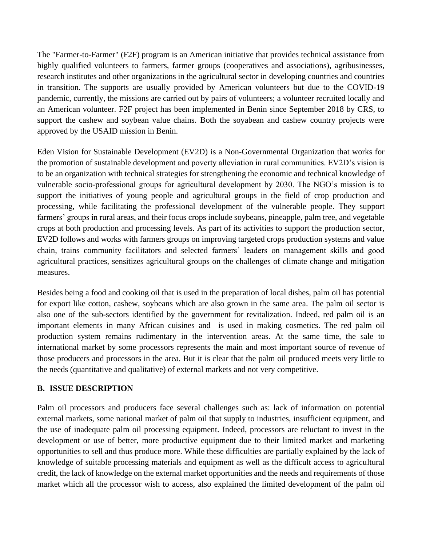The "Farmer-to-Farmer" (F2F) program is an American initiative that provides technical assistance from highly qualified volunteers to farmers, farmer groups (cooperatives and associations), agribusinesses, research institutes and other organizations in the agricultural sector in developing countries and countries in transition. The supports are usually provided by American volunteers but due to the COVID-19 pandemic, currently, the missions are carried out by pairs of volunteers; a volunteer recruited locally and an American volunteer. F2F project has been implemented in Benin since September 2018 by CRS, to support the cashew and soybean value chains. Both the soyabean and cashew country projects were approved by the USAID mission in Benin.

Eden Vision for Sustainable Development (EV2D) is a Non-Governmental Organization that works for the promotion of sustainable development and poverty alleviation in rural communities. EV2D's vision is to be an organization with technical strategies for strengthening the economic and technical knowledge of vulnerable socio-professional groups for agricultural development by 2030. The NGO's mission is to support the initiatives of young people and agricultural groups in the field of crop production and processing, while facilitating the professional development of the vulnerable people. They support farmers' groups in rural areas, and their focus crops include soybeans, pineapple, palm tree, and vegetable crops at both production and processing levels. As part of its activities to support the production sector, EV2D follows and works with farmers groups on improving targeted crops production systems and value chain, trains community facilitators and selected farmers' leaders on management skills and good agricultural practices, sensitizes agricultural groups on the challenges of climate change and mitigation measures.

Besides being a food and cooking oil that is used in the preparation of local dishes, palm oil has potential for export like cotton, cashew, soybeans which are also grown in the same area. The palm oil sector is also one of the sub-sectors identified by the government for revitalization. Indeed, red palm oil is an important elements in many African cuisines and is used in making cosmetics. The red palm oil production system remains rudimentary in the intervention areas. At the same time, the sale to international market by some processors represents the main and most important source of revenue of those producers and processors in the area. But it is clear that the palm oil produced meets very little to the needs (quantitative and qualitative) of external markets and not very competitive.

#### **B. ISSUE DESCRIPTION**

Palm oil processors and producers face several challenges such as: lack of information on potential external markets, some national market of palm oil that supply to industries, insufficient equipment, and the use of inadequate palm oil processing equipment. Indeed, processors are reluctant to invest in the development or use of better, more productive equipment due to their limited market and marketing opportunities to sell and thus produce more. While these difficulties are partially explained by the lack of knowledge of suitable processing materials and equipment as well as the difficult access to agricultural credit, the lack of knowledge on the external market opportunities and the needs and requirements of those market which all the processor wish to access, also explained the limited development of the palm oil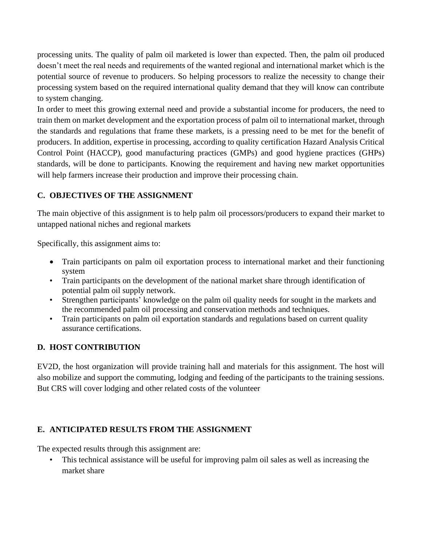processing units. The quality of palm oil marketed is lower than expected. Then, the palm oil produced doesn't meet the real needs and requirements of the wanted regional and international market which is the potential source of revenue to producers. So helping processors to realize the necessity to change their processing system based on the required international quality demand that they will know can contribute to system changing.

In order to meet this growing external need and provide a substantial income for producers, the need to train them on market development and the exportation process of palm oil to international market, through the standards and regulations that frame these markets, is a pressing need to be met for the benefit of producers. In addition, expertise in processing, according to quality certification Hazard Analysis Critical Control Point (HACCP), good manufacturing practices (GMPs) and good hygiene practices (GHPs) standards, will be done to participants. Knowing the requirement and having new market opportunities will help farmers increase their production and improve their processing chain.

## **C. OBJECTIVES OF THE ASSIGNMENT**

The main objective of this assignment is to help palm oil processors/producers to expand their market to untapped national niches and regional markets

Specifically, this assignment aims to:

- Train participants on palm oil exportation process to international market and their functioning system
- Train participants on the development of the national market share through identification of potential palm oil supply network.
- Strengthen participants' knowledge on the palm oil quality needs for sought in the markets and the recommended palm oil processing and conservation methods and techniques.
- Train participants on palm oil exportation standards and regulations based on current quality assurance certifications.

# **D. HOST CONTRIBUTION**

EV2D, the host organization will provide training hall and materials for this assignment. The host will also mobilize and support the commuting, lodging and feeding of the participants to the training sessions. But CRS will cover lodging and other related costs of the volunteer

# **E. ANTICIPATED RESULTS FROM THE ASSIGNMENT**

The expected results through this assignment are:

• This technical assistance will be useful for improving palm oil sales as well as increasing the market share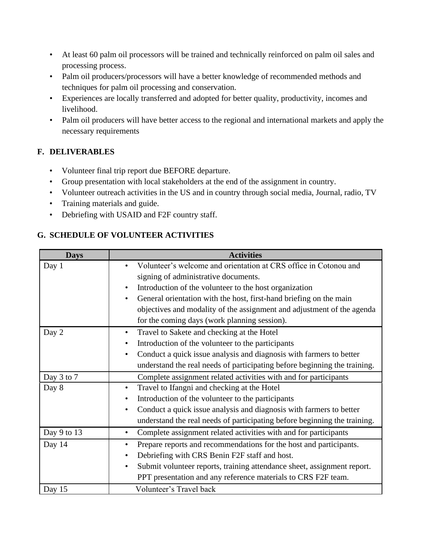- At least 60 palm oil processors will be trained and technically reinforced on palm oil sales and processing process.
- Palm oil producers/processors will have a better knowledge of recommended methods and techniques for palm oil processing and conservation.
- Experiences are locally transferred and adopted for better quality, productivity, incomes and livelihood.
- Palm oil producers will have better access to the regional and international markets and apply the necessary requirements

# **F. DELIVERABLES**

- Volunteer final trip report due BEFORE departure.
- Group presentation with local stakeholders at the end of the assignment in country.
- Volunteer outreach activities in the US and in country through social media, Journal, radio, TV
- Training materials and guide.
- Debriefing with USAID and F2F country staff.

# **G. SCHEDULE OF VOLUNTEER ACTIVITIES**

| <b>Days</b>   | <b>Activities</b>                                                                    |  |
|---------------|--------------------------------------------------------------------------------------|--|
| Day 1         | Volunteer's welcome and orientation at CRS office in Cotonou and                     |  |
|               | signing of administrative documents.                                                 |  |
|               | Introduction of the volunteer to the host organization                               |  |
|               | General orientation with the host, first-hand briefing on the main<br>٠              |  |
|               | objectives and modality of the assignment and adjustment of the agenda               |  |
|               | for the coming days (work planning session).                                         |  |
| Day 2         | Travel to Sakete and checking at the Hotel<br>٠                                      |  |
|               | Introduction of the volunteer to the participants<br>٠                               |  |
|               | Conduct a quick issue analysis and diagnosis with farmers to better<br>٠             |  |
|               | understand the real needs of participating before beginning the training.            |  |
| Day 3 to 7    | Complete assignment related activities with and for participants                     |  |
| Day 8         | Travel to Ifangni and checking at the Hotel<br>$\bullet$                             |  |
|               | Introduction of the volunteer to the participants<br>$\bullet$                       |  |
|               | Conduct a quick issue analysis and diagnosis with farmers to better<br>٠             |  |
|               | understand the real needs of participating before beginning the training.            |  |
| Day 9 to $13$ | Complete assignment related activities with and for participants<br>$\bullet$        |  |
| Day 14        | Prepare reports and recommendations for the host and participants.                   |  |
|               | Debriefing with CRS Benin F2F staff and host.<br>٠                                   |  |
|               | Submit volunteer reports, training attendance sheet, assignment report.<br>$\bullet$ |  |
|               | PPT presentation and any reference materials to CRS F2F team.                        |  |
| Day 15        | Volunteer's Travel back                                                              |  |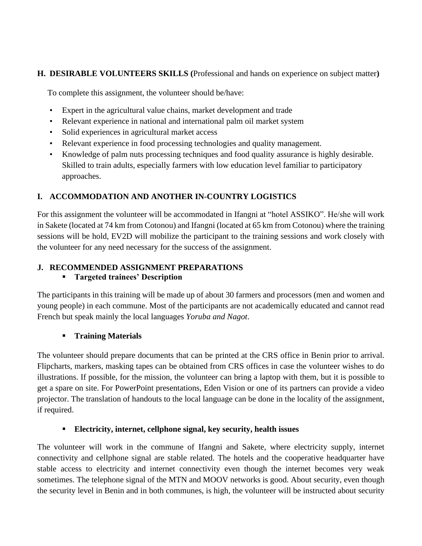## **H. DESIRABLE VOLUNTEERS SKILLS (**Professional and hands on experience on subject matter**)**

To complete this assignment, the volunteer should be/have:

- Expert in the agricultural value chains, market development and trade
- Relevant experience in national and international palm oil market system
- Solid experiences in agricultural market access
- Relevant experience in food processing technologies and quality management.
- Knowledge of palm nuts processing techniques and food quality assurance is highly desirable. Skilled to train adults, especially farmers with low education level familiar to participatory approaches.

## **I. ACCOMMODATION AND ANOTHER IN-COUNTRY LOGISTICS**

For this assignment the volunteer will be accommodated in Ifangni at "hotel ASSIKO". He/she will work in Sakete (located at 74 km from Cotonou) and Ifangni (located at 65 km from Cotonou) where the training sessions will be hold, EV2D will mobilize the participant to the training sessions and work closely with the volunteer for any need necessary for the success of the assignment.

## **J. RECOMMENDED ASSIGNMENT PREPARATIONS**

## ▪ **Targeted trainees' Description**

The participants in this training will be made up of about 30 farmers and processors (men and women and young people) in each commune. Most of the participants are not academically educated and cannot read French but speak mainly the local languages *Yoruba and Nagot*.

## ▪ **Training Materials**

The volunteer should prepare documents that can be printed at the CRS office in Benin prior to arrival. Flipcharts, markers, masking tapes can be obtained from CRS offices in case the volunteer wishes to do illustrations. If possible, for the mission, the volunteer can bring a laptop with them, but it is possible to get a spare on site. For PowerPoint presentations, Eden Vision or one of its partners can provide a video projector. The translation of handouts to the local language can be done in the locality of the assignment, if required.

## ▪ **Electricity, internet, cellphone signal, key security, health issues**

The volunteer will work in the commune of Ifangni and Sakete, where electricity supply, internet connectivity and cellphone signal are stable related. The hotels and the cooperative headquarter have stable access to electricity and internet connectivity even though the internet becomes very weak sometimes. The telephone signal of the MTN and MOOV networks is good. About security, even though the security level in Benin and in both communes, is high, the volunteer will be instructed about security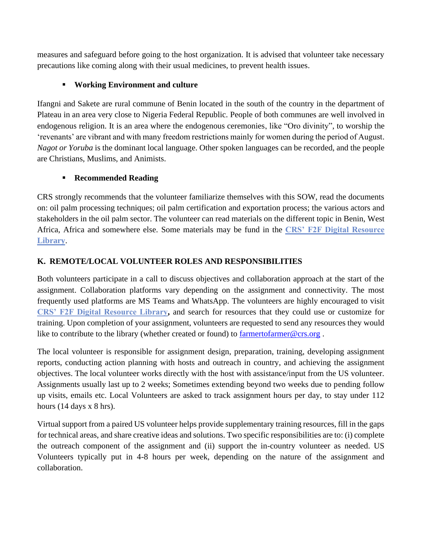measures and safeguard before going to the host organization. It is advised that volunteer take necessary precautions like coming along with their usual medicines, to prevent health issues.

#### ▪ **Working Environment and culture**

Ifangni and Sakete are rural commune of Benin located in the south of the country in the department of Plateau in an area very close to Nigeria Federal Republic. People of both communes are well involved in endogenous religion. It is an area where the endogenous ceremonies, like "Oro divinity", to worship the 'revenants' are vibrant and with many freedom restrictions mainly for women during the period of August. *Nagot or Yoruba* is the dominant local language. Other spoken languages can be recorded, and the people are Christians, Muslims, and Animists.

#### ▪ **Recommended Reading**

CRS strongly recommends that the volunteer familiarize themselves with this SOW, read the documents on: oil palm processing techniques; oil palm certification and exportation process; the various actors and stakeholders in the oil palm sector. The volunteer can read materials on the different topic in Benin, West Africa, Africa and somewhere else. Some materials may be fund in the **[CRS' F2F Digital Resource](https://f2flibrary.crs.org/Presto/home/home.aspx?_ga=2.141716784.32617302.1616765386-2022794543.1567520784)  [Library](https://f2flibrary.crs.org/Presto/home/home.aspx?_ga=2.141716784.32617302.1616765386-2022794543.1567520784)**.

#### **K. REMOTE/LOCAL VOLUNTEER ROLES AND RESPONSIBILITIES**

Both volunteers participate in a call to discuss objectives and collaboration approach at the start of the assignment. Collaboration platforms vary depending on the assignment and connectivity. The most frequently used platforms are MS Teams and WhatsApp. The volunteers are highly encouraged to visit **[CRS' F2F Digital Resource Library,](https://f2flibrary.crs.org/Presto/home/home.aspx?_ga=2.141716784.32617302.1616765386-2022794543.1567520784)** and search for resources that they could use or customize for training. Upon completion of your assignment, volunteers are requested to send any resources they would like to contribute to the library (whether created or found) to [farmertofarmer@crs.org](mailto:farmertofarmer@crs.org).

The local volunteer is responsible for assignment design, preparation, training, developing assignment reports, conducting action planning with hosts and outreach in country, and achieving the assignment objectives. The local volunteer works directly with the host with assistance/input from the US volunteer. Assignments usually last up to 2 weeks; Sometimes extending beyond two weeks due to pending follow up visits, emails etc. Local Volunteers are asked to track assignment hours per day, to stay under 112 hours (14 days x 8 hrs).

Virtual support from a paired US volunteer helps provide supplementary training resources, fill in the gaps for technical areas, and share creative ideas and solutions. Two specific responsibilities are to: (i) complete the outreach component of the assignment and (ii) support the in-country volunteer as needed. US Volunteers typically put in 4-8 hours per week, depending on the nature of the assignment and collaboration.